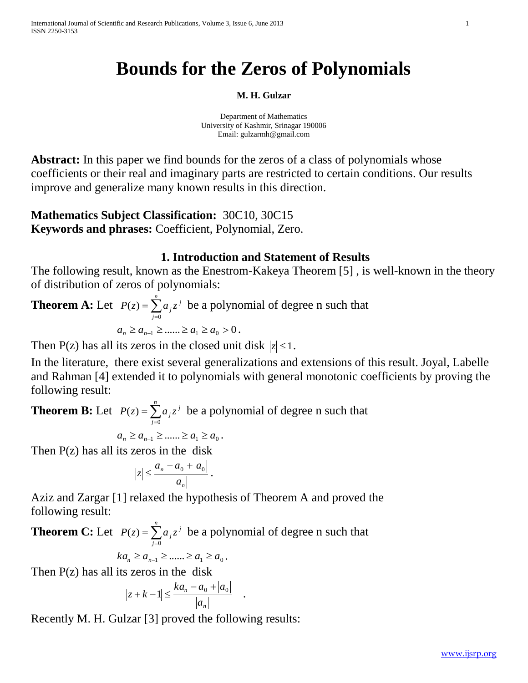# **Bounds for the Zeros of Polynomials**

#### **M. H. Gulzar**

Department of Mathematics University of Kashmir, Srinagar 190006 Email: [gulzarmh@gmail.com](mailto:gulzarmh@gmail.com)

**Abstract:** In this paper we find bounds for the zeros of a class of polynomials whose coefficients or their real and imaginary parts are restricted to certain conditions. Our results improve and generalize many known results in this direction.

**Mathematics Subject Classification:** 30C10, 30C15 **Keywords and phrases:** Coefficient, Polynomial, Zero.

## **1. Introduction and Statement of Results**

The following result, known as the Enestrom-Kakeya Theorem [5] , is well-known in the theory of distribution of zeros of polynomials:

**Theorem A:** Let  $P(z) = \sum_{j=0}^{n}$ *j*  $P(z) = \sum a_j z^j$ 0  $(z) = \sum a_i z^i$  be a polynomial of degree n such that  $a_n \ge a_{n-1} \ge \dots \ge a_1 \ge a_0 > 0$ .

Then P(z) has all its zeros in the closed unit disk  $|z| \leq 1$ .

In the literature, there exist several generalizations and extensions of this result. Joyal, Labelle and Rahman [4] extended it to polynomials with general monotonic coefficients by proving the following result:

**Theorem B:** Let  $P(z) = \sum_{j=0}^{n}$ *j*  $P(z) = \sum a_j z^j$ 0  $(z) = \sum a_i z^i$  be a polynomial of degree n such that

$$
a_n \ge a_{n-1} \ge \dots \ge a_1 \ge a_0.
$$

Then  $P(z)$  has all its zeros in the disk

$$
\left|z\right| \leq \frac{a_n - a_0 + \left|a_0\right|}{\left|a_n\right|} \, .
$$

Aziz and Zargar [1] relaxed the hypothesis of Theorem A and proved the following result:

**Theorem C:** Let  $P(z) = \sum_{j=0}^{n}$ *j*  $P(z) = \sum a_j z^j$ 0  $(z) = \sum a_i z^i$  be a polynomial of degree n such that

$$
ka_n \ge a_{n-1} \ge \dots \ge a_1 \ge a_0.
$$

Then  $P(z)$  has all its zeros in the disk

$$
\left|z + k - 1\right| \le \frac{ka_n - a_0 + |a_0|}{|a_n|} \quad .
$$

Recently M. H. Gulzar [3] proved the following results: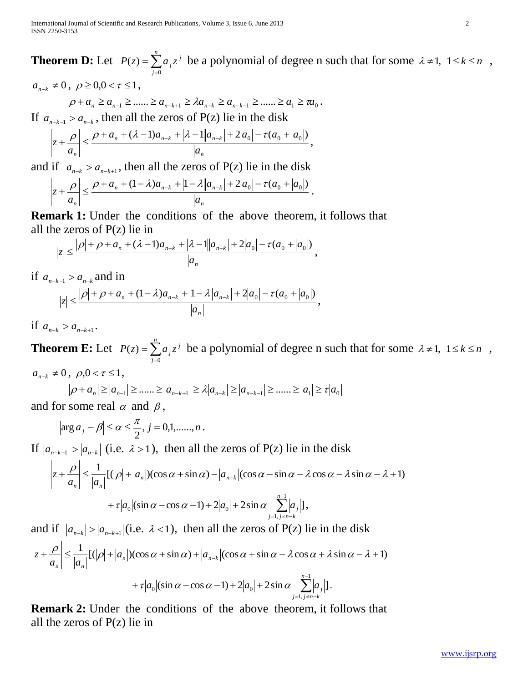**Theorem D:** Let  $P(z) = \sum_{j=0}^{n}$ *j*  $P(z) = \sum a_j z^j$ 0  $(z) = \sum a_i z^i$  be a polynomial of degree n such that for some  $\lambda \neq 1, 1 \leq k \leq n$ ,

 $a_{n-k} \neq 0$ ,  $\rho \geq 0, 0 < \tau \leq 1$ ,

$$
\rho + a_n \ge a_{n-1} \ge \dots \ge a_{n-k+1} \ge \lambda a_{n-k} \ge a_{n-k-1} \ge \dots \ge a_1 \ge a_0.
$$

If  $a_{n-k-1} > a_{n-k}$ , then all the zeros of P(z) lie in the disk

$$
\left|z+\frac{\rho}{a_n}\right| \leq \frac{\rho+a_n+(\lambda-1)a_{n-k}+|\lambda-1||a_{n-k}|+2|a_0|-\tau(a_0+|a_0|)}{|a_n|},
$$

and if  $a_{n-k} > a_{n-k+1}$ , then all the zeros of P(z) lie in the disk

$$
\left|z + \frac{\rho}{a_n}\right| \le \frac{\rho + a_n + (1 - \lambda)a_{n-k} + |1 - \lambda||a_{n-k}| + 2|a_0| - \tau(a_0 + |a_0|)}{|a_n|}.
$$

**Remark 1:** Under the conditions of the above theorem, it follows that all the zeros of  $P(z)$  lie in

$$
|z| \leq \frac{|\rho| + \rho + a_n + (\lambda - 1)a_{n-k} + |\lambda - 1||a_{n-k}| + 2|a_0| - \tau(a_0 + |a_0|)}{|a_n|},
$$

if  $a_{n-k-1} > a_{n-k}$  and in

$$
|z| \leq \frac{|\rho| + \rho + a_n + (1 - \lambda)a_{n-k} + |1 - \lambda||a_{n-k}| + 2|a_0| - \tau(a_0 + |a_0|)}{|a_n|},
$$

if  $a_{n-k} > a_{n-k+1}$ .

**Theorem E:** Let  $P(z) = \sum_{j=0}^{n}$ *j*  $P(z) = \sum a_j z^j$ 0  $\mathcal{L}(z) = \sum a_i z^i$  be a polynomial of degree n such that for some  $\lambda \neq 1, 1 \leq k \leq n$ ,

 $=1, j\neq n-$ 

 $j=1, j \neq n-k$ 

1,

$$
a_{n-k}\neq 0\,,\,\,\rho,0<\tau\leq 1\,,
$$

$$
|\rho + a_n| \ge |a_{n-1}| \ge \dots \ge |a_{n-k+1}| \ge \lambda |a_{n-k}| \ge |a_{n-k-1}| \ge \dots \ge |a_1| \ge \tau |a_0|
$$
  
for some real  $\alpha$  and  $\beta$ 

and for some real  $\alpha$  and  $\beta$ ,

$$
|\arg a_j - \beta| \le \alpha \le \frac{\pi}{2}, j = 0,1, \dots, n.
$$

If 
$$
|a_{n-k-1}| > |a_{n-k}|
$$
 (i.e.  $\lambda > 1$ ), then all the zeros of P(z) lie in the disk  
\n
$$
\left| z + \frac{\rho}{a_n} \right| \le \frac{1}{|a_n|} [(\rho| + |a_n|)(\cos \alpha + \sin \alpha) - |a_{n-k}|(\cos \alpha - \sin \alpha - \lambda \cos \alpha - \lambda \sin \alpha - \lambda + 1)
$$
\n
$$
+ \tau |a_0|(\sin \alpha - \cos \alpha - 1) + 2|a_0| + 2\sin \alpha \sum_{j=1, j \neq n-k}^{n-1} |a_j|],
$$

and if  $|a_{n-k}| > |a_{n-k+1}|$  (i.e.  $\lambda < 1$ ), then all the zeros of P(z) lie in the disk  $+\frac{\rho}{\epsilon} \leq \frac{1}{1-1}[(\rho + |a_n|)(\cos \alpha + \sin \alpha) + |a_{n-k}|(\cos \alpha + \sin \alpha - \lambda \cos \alpha + \lambda \sin \alpha - \lambda + 1)]$  $n \left| \right|$ <sup>*n*</sup>  $\left| u_{n-k} \right|$  $n \mid u_n$  $a_n$ )(cos  $\alpha$  + sin  $\alpha$ ) + |a  $a_n \rvert = |a|$ *z*  $+\tau |a_0|(\sin\alpha - \cos\alpha - 1) + 2|a_0| + 2\sin\alpha \sum_{n=1}^{\infty}$  $+ \tau |a_0|(\sin\alpha - \cos\alpha - 1) + 2|a_0| + 2\sin\alpha$  $\alpha$   $|\sin \alpha - \cos \alpha - 1| + 2|a_0| + 2\sin \alpha$   $\sum |a_j|$ *n*  $\tau |a_0| (\sin \alpha - \cos \alpha - 1) + 2|a_0| + 2\sin \alpha$   $\sum |a_j|$ .

**Remark 2:** Under the conditions of the above theorem, it follows that all the zeros of P(z) lie in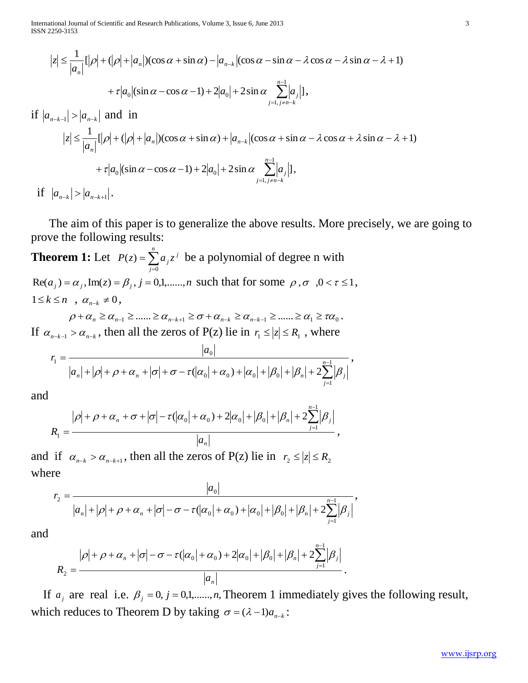International Journal of Scientific and Research Publications, Volume 3, Issue 6, June 2013 3 ISSN 2250-3153

$$
|z| \leq \frac{1}{|a_n|} [|\rho| + (|\rho| + |a_n|)(\cos \alpha + \sin \alpha) - |a_{n-k}|(\cos \alpha - \sin \alpha - \lambda \cos \alpha - \lambda \sin \alpha - \lambda + 1)
$$
  
+  $\tau |a_0|(\sin \alpha - \cos \alpha - 1) + 2|a_0| + 2\sin \alpha \sum_{j=1, j\neq n-k}^{n-1} |a_j|],$   
if  $|a_{n-k-1}| > |a_{n-k}|$  and in  

$$
|z| \leq \frac{1}{|a_n|} [|\rho| + (|\rho| + |a_n|)(\cos \alpha + \sin \alpha) + |a_{n-k}|(\cos \alpha + \sin \alpha - \lambda \cos \alpha + \lambda \sin \alpha - \lambda + 1)
$$
  
+  $\tau |a_0|(\sin \alpha - \cos \alpha - 1) + 2|a_0| + 2\sin \alpha \sum_{j=1, j\neq n-k}^{n-1} |a_j|],$   
if  $|a_{n-k}| > |a_{n-k+1}|.$ 

 The aim of this paper is to generalize the above results. More precisely, we are going to prove the following results:

**Theorem 1:** Let  $P(z) = \sum_{j=0}^{n}$ *j*  $P(z) = \sum a_j z^j$ 0  $(z) = \sum a_i z^i$  be a polynomial of degree n with  $\text{Re}(a_j) = \alpha_j, \text{Im}(z) = \beta_j, j = 0,1,\dots,n$  such that for some  $\rho, \sigma, 0 < \tau \le 1$ ,  $1 \leq k \leq n$ ,  $\alpha_{n-k} \neq 0$ ,

 $\rho + \alpha_n \ge \alpha_{n-1} \ge \dots \ge \alpha_{n-k+1} \ge \sigma + \alpha_{n-k} \ge \alpha_{n-k-1} \ge \dots \ge \alpha_1 \ge \tau \alpha_0.$ If  $\alpha_{n-k-1} > \alpha_{n-k}$ , then all the zeros of P(z) lie in  $r_1 \le |z| \le R_1$ , where

$$
r_1 = \frac{|a_0|}{|a_n| + |\rho| + \rho + \alpha_n + |\sigma| + \sigma - \tau(|\alpha_0| + |\alpha_0| + |\beta_0| + |\beta_n| + 2\sum_{j=1}^{n-1} |\beta_j|},
$$

and

$$
R_1 = \frac{|\rho| + \rho + \alpha_n + \sigma + |\sigma| - \tau(|\alpha_0| + \alpha_0) + 2|\alpha_0| + |\beta_0| + |\beta_n| + 2\sum_{j=1}^{n-1} |\beta_j|}{|a_n|},
$$

and if  $\alpha_{n-k} > \alpha_{n-k+1}$ , then all the zeros of P(z) lie in  $r_2 \le |z| \le R_2$ where

$$
r_2 = \frac{|a_0|}{|a_n| + |\rho| + \rho + \alpha_n + |\sigma| - \sigma - \tau(|\alpha_0| + |\alpha_0| + |\beta_0| + |\beta_n| + 2\sum_{j=1}^{n-1} |\beta_j|},
$$

and

$$
R_2 = \frac{|\rho| + \rho + \alpha_n + |\sigma| - \sigma - \tau(|\alpha_0| + \alpha_0) + 2|\alpha_0| + |\beta_0| + |\beta_n| + 2\sum_{j=1}^{n-1} |\beta_j|}{|a_n|}.
$$

If  $a_j$  are real i.e.  $\beta_j = 0, j = 0,1, \dots, n$ , Theorem 1 immediately gives the following result, which reduces to Theorem D by taking  $\sigma = (\lambda - 1)a_{n-k}$ :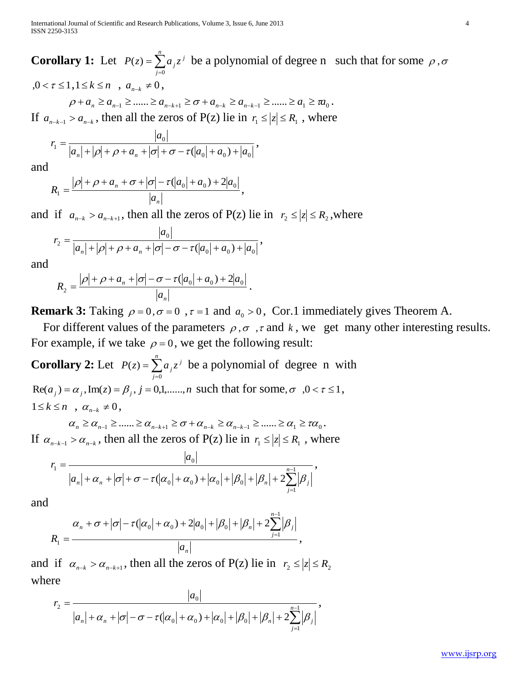**Corollary 1:** Let  $P(z) = \sum_{j=0}^{n}$ *j*  $P(z) = \sum a_j z^j$ 0  $\zeta(z) = \sum a_i z^i$  be a polynomial of degree n such that for some  $\rho$ ,  $\sigma$  $, 0 < \tau \leq 1, 1 \leq k \leq n$ ,  $a_{n-k} \neq 0$ ,  $\rho + a_n \ge a_{n-1} \ge \dots \ge a_{n-k+1} \ge \sigma + a_{n-k} \ge a_{n-k-1} \ge \dots \ge a_1 \ge \pi a_0$ . If  $a_{n-k-1} > a_{n-k}$ , then all the zeros of P(z) lie in  $r_1 \le |z| \le R_1$ , where

$$
r_1 = \frac{|a_0|}{|a_n| + |\rho| + \rho + a_n + |\sigma| + \sigma - \tau(|a_0| + a_0) + |a_0|},
$$

and

$$
R_1 = \frac{|\rho| + \rho + a_n + \sigma + |\sigma| - \tau(|a_0| + a_0) + 2|a_0|}{|a_n|},
$$

and if  $a_{n-k} > a_{n-k+1}$ , then all the zeros of P(z) lie in  $r_2 \le |z| \le R_2$ , where

$$
r_2 = \frac{|a_0|}{|a_n| + |\rho| + \rho + a_n + |\sigma| - \sigma - \tau(|a_0| + a_0) + |a_0|},
$$

and

$$
R_2 = \frac{|\rho| + \rho + a_n + |\sigma| - \sigma - \tau(|a_0| + a_0) + 2|a_0|}{|a_n|}.
$$

**Remark 3:** Taking  $\rho = 0$ ,  $\sigma = 0$ ,  $\tau = 1$  and  $a_0 > 0$ , Cor.1 immediately gives Theorem A.

For different values of the parameters  $\rho$ ,  $\sigma$ ,  $\tau$  and  $k$ , we get many other interesting results. For example, if we take  $\rho = 0$ , we get the following result:

**Corollary 2:** Let  $P(z) = \sum_{j=0}^{n}$ *j*  $P(z) = \sum a_j z^j$ 0  $(z) = \sum a_i z^i$  be a polynomial of degree n with  $Re(a_j) = a_j$ ,  $Im(z) = \beta_j$ ,  $j = 0,1,...,n$  such that for some,  $\sigma$ ,  $0 < \tau \le 1$ ,  $1 \leq k \leq n$ ,  $\alpha_{n-k} \neq 0$ ,

 $\alpha_n \geq \alpha_{n-1} \geq \dots \geq \alpha_{n-k+1} \geq \sigma + \alpha_{n-k} \geq \alpha_{n-k-1} \geq \dots \geq \alpha_1 \geq \tau \alpha_0$ If  $\alpha_{n-k-1} > \alpha_{n-k}$ , then all the zeros of P(z) lie in  $r_1 \le |z| \le R_1$ , where

$$
r_1 = \frac{|a_0|}{|a_n| + \alpha_n + |\sigma| + \sigma - \tau(|\alpha_0| + \alpha_0) + |\alpha_0| + |\beta_0| + |\beta_n| + 2\sum_{j=1}^{n-1} |\beta_j|},
$$

and

$$
R_1 = \frac{\alpha_n + \sigma + |\sigma| - \tau(|\alpha_0| + \alpha_0) + 2|a_0| + |\beta_0| + |\beta_n| + 2\sum_{j=1}^{n-1} |\beta_j|}{|a_n|},
$$

and if  $\alpha_{n-k} > \alpha_{n-k+1}$ , then all the zeros of P(z) lie in  $r_2 \le |z| \le R_2$ where

$$
r_2 = \frac{|a_0|}{|a_n| + \alpha_n + |\sigma| - \sigma - \tau(|\alpha_0| + \alpha_0) + |\alpha_0| + |\beta_0| + |\beta_n| + 2\sum_{j=1}^{n-1} |\beta_j|},
$$

*a*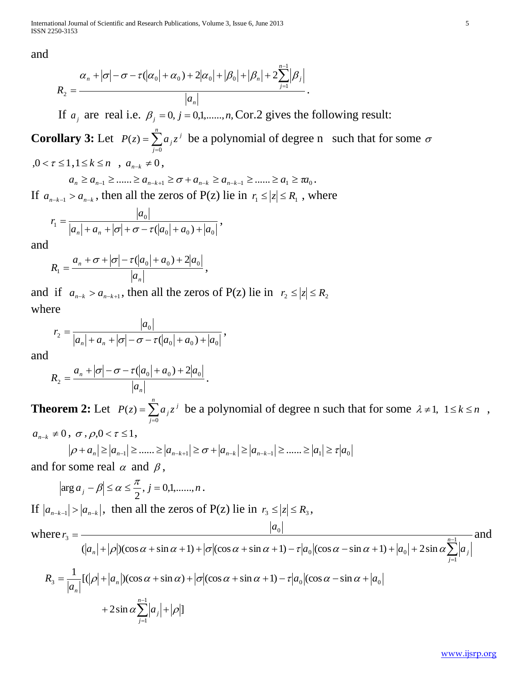International Journal of Scientific and Research Publications, Volume 3, Issue 6, June 2013 5 ISSN 2250-3153

and

$$
R_2 = \frac{\alpha_n + |\sigma| - \sigma - \tau(|\alpha_0| + \alpha_0) + 2|\alpha_0| + |\beta_0| + |\beta_n| + 2\sum_{j=1}^{n-1} |\beta_j|}{|a_n|}.
$$

If  $a_j$  are real i.e.  $\beta_j = 0, j = 0,1, \dots, n$ , Cor.2 gives the following result:

**Corollary 3:** Let  $P(z) = \sum_{j=0}^{n}$ *j*  $P(z) = \sum a_j z^j$ 0  $\zeta(z) = \sum a_i z^i$  be a polynomial of degree n such that for some  $\sigma$  $, 0 < \tau \leq 1, 1 \leq k \leq n$ ,  $a_{n-k} \neq 0$ ,

$$
a_n \ge a_{n-1} \ge \dots \ge a_{n-k+1} \ge \sigma + a_{n-k} \ge a_{n-k-1} \ge \dots \ge a_1 \ge \pi a_0.
$$

If  $a_{n-k-1} > a_{n-k}$ , then all the zeros of P(z) lie in  $r_1 \le |z| \le R_1$ , where

$$
r_1 = \frac{|a_0|}{|a_n| + a_n + |\sigma| + \sigma - \tau(|a_0| + a_0) + |a_0|},
$$

and

$$
R_1 = \frac{a_n + \sigma + |\sigma| - \tau(|a_0| + a_0) + 2|a_0|}{|a_n|},
$$

and if  $a_{n-k} > a_{n-k+1}$ , then all the zeros of P(z) lie in  $r_2 \le |z| \le R_2$ where

$$
r_2 = \frac{|a_0|}{|a_n| + a_n + |\sigma| - \sigma - \tau(|a_0| + a_0) + |a_0|},
$$

and

$$
R_2 = \frac{a_n + |\sigma| - \sigma - \tau(|a_0| + a_0) + 2|a_0|}{|a_n|}
$$

**Theorem 2:** Let  $P(z) = \sum_{j=0}^{n}$ *j*  $P(z) = \sum a_j z^j$ 0  $\mathcal{L}(z) = \sum a_i z^i$  be a polynomial of degree n such that for some  $\lambda \neq 1, 1 \leq k \leq n$ ,  $a_{n-k} \neq 0$ ,  $\sigma$ ,  $\rho, 0 < \tau \leq 1$ ,

$$
|\rho + a_n| \ge |a_{n-1}| \ge \dots \ge |a_{n-k+1}| \ge \sigma + |a_{n-k}| \ge |a_{n-k-1}| \ge \dots \ge |a_1| \ge \tau |a_0|
$$

.

and for some real  $\alpha$  and  $\beta$ ,

$$
|\arg a_j - \beta| \le \alpha \le \frac{\pi}{2}, j = 0,1, \dots, n.
$$

 $\overline{a}$ 

*j*

If  $|a_{n-k-1}| > |a_{n-k}|$ , then all the zeros of P(z) lie in  $r_3 \le |z| \le R_3$ , where  $\sum^{n-1}$ =  $+|\rho|$ )(cos  $\alpha$  + sin  $\alpha$  + 1) +  $|\sigma|$ (cos  $\alpha$  + sin  $\alpha$  + 1) –  $\tau|a_0|$ (cos  $\alpha$  – sin  $\alpha$  + 1) +  $|a_0|$  +  $=$   $\frac{|v_0|}{n-1}$ 1  $_{0}$  (cos  $\alpha$  – sin  $\alpha$  + 1) +  $\mu_{0}$ 0 3  $(|a_n| + |\rho|)(\cos \alpha + \sin \alpha + 1) + |\sigma|(\cos \alpha + \sin \alpha + 1) - \tau |a_0|(\cos \alpha - \sin \alpha + 1) + |a_0| + 2\sin \alpha$ *n j*  $a_n$  +  $|\rho|$ )(cos  $\alpha$  + sin  $\alpha$  + 1) +  $|\sigma|$ (cos  $\alpha$  + sin  $\alpha$  + 1) -  $\tau|a_0|$ (cos  $\alpha$  - sin  $\alpha$  + 1) +  $|a_0|$  + 2 sin  $\alpha \sum a_j$ *a r*  $\rho$ )(cos  $\alpha$  + sin  $\alpha$  + 1) +  $|\sigma|$ (cos  $\alpha$  + sin  $\alpha$  + 1) –  $\tau|a_0|$ (cos  $\alpha$  – sin  $\alpha$  + 1) +  $|a_0|$  + 2 sin  $\alpha$  $\alpha_3 = \frac{1}{1-1} [(\vert \rho \vert + \vert a_n \vert)(\cos \alpha + \sin \alpha) + |\sigma|(\cos \alpha + \sin \alpha + 1) - \tau |a_0|(\cos \alpha - \sin \alpha + |a_0|)$  $R_3 = \frac{1}{|a_n|} [(|\rho| + |a_n|)]$ *n*  $=\frac{1}{1-1}[(\left|\rho\right|+\left|a_{n}\right|)(\cos\alpha+\sin\alpha)+\left|\sigma\right|(\cos\alpha+\sin\alpha+1)-\tau\left|a_{0}\right|(\cos\alpha-\sin\alpha+1)$  $+2\sin \alpha \sum_{i=1}^{n-1} |a_i| + |\rho|$ + 2 sin  $\alpha \sum_{j=1}^{n-1} |a_j| + |\rho|$ *n aj*

and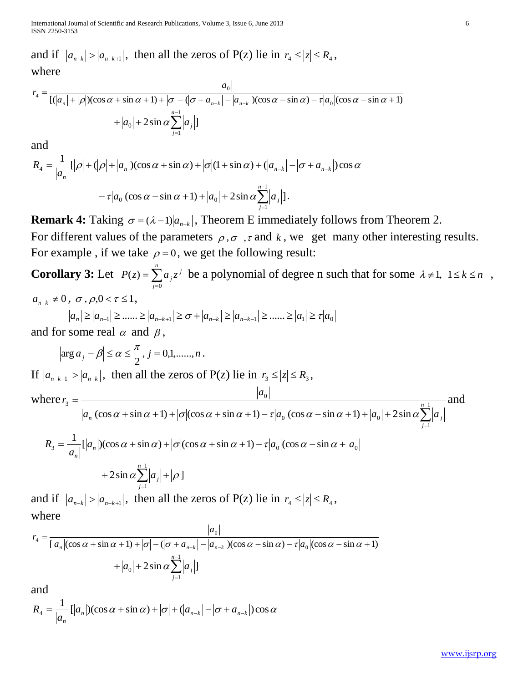International Journal of Scientific and Research Publications, Volume 3, Issue 6, June 2013 6 ISSN 2250-3153

and if  $|a_{n-k}| > |a_{n-k+1}|$ , then all the zeros of P(z) lie in  $r_4 \le |z| \le R_4$ , where

$$
r_4 = \frac{|a_0|}{[(|a_n| + |\rho|)(\cos \alpha + \sin \alpha + 1) + |\sigma| - (|\sigma + a_{n-k}| - |a_{n-k}|)(\cos \alpha - \sin \alpha) - \tau |a_0|(\cos \alpha - \sin \alpha + 1)}
$$
  
+  $|a_0| + 2 \sin \alpha \sum_{j=1}^{n-1} |a_j|$ ]

and

$$
R_4 = \frac{1}{|a_n|} [|\rho| + (|\rho| + |a_n|)(\cos \alpha + \sin \alpha) + |\sigma| (1 + \sin \alpha) + (|a_{n-k}| - |\sigma + a_{n-k}|)\cos \alpha
$$
  

$$
- \tau |a_0|(\cos \alpha - \sin \alpha + 1) + |a_0| + 2\sin \alpha \sum_{j=1}^{n-1} |a_j|].
$$

**Remark 4:** Taking  $\sigma = (\lambda - 1)|a_{n-k}|$ , Theorem E immediately follows from Theorem 2. For different values of the parameters  $\rho, \sigma, \tau$  and k, we get many other interesting results. For example, if we take  $\rho = 0$ , we get the following result:

**Corollary 3:** Let  $P(z) = \sum_{j=0}^{n}$ *j*  $P(z) = \sum a_j z^j$ 0  $\mathcal{L}(z) = \sum a_i z^i$  be a polynomial of degree n such that for some  $\lambda \neq 1, 1 \leq k \leq n$ ,  $a_{n-k} \neq 0$ ,  $\sigma$ ,  $\rho, 0 < \tau \leq 1$ ,

$$
|a_n| \ge |a_{n-1}| \ge \dots \ge |a_{n-k+1}| \ge \sigma + |a_{n-k}| \ge |a_{n-k-1}| \ge \dots \ge |a_1| \ge \tau |a_0|
$$
  
for some real  $\alpha$  and  $\beta$ 

and for some real  $\alpha$  and  $\beta$ ,

 $|\arg a_j - \beta| \le \alpha \le \frac{\pi}{2}, j = 0,1,\dots,n$ 2  $\arg a_i - \beta \le \alpha \le \frac{\pi}{2}, j = 0,1, \dots, n$ . If  $|a_{n-k-1}| > |a_{n-k}|$ , then all the zeros of P(z) lie in  $r_3 \le |z| \le R_3$ , where  $\sum^{n-1}$  $=$  $+\sin \alpha + 1$  +  $|\sigma|(\cos \alpha + \sin \alpha + 1) - \tau |a_0|(\cos \alpha - \sin \alpha + 1) + |a_0| +$  $\frac{|v_0|}{n-1}$ 1  $_{0}$  (cos  $\alpha$  – sin  $\alpha$  + 1) +  $\mu_{0}$ 0 3  $(\cos \alpha + \sin \alpha + 1) + |\sigma|(\cos \alpha + \sin \alpha + 1) - \tau |a_0|(\cos \alpha - \sin \alpha + 1) + |a_0| + 2\sin$ *n j*  $a_n$   $\left| \frac{\cos \alpha + \sin \alpha + 1}{} \right| + \frac{\sigma}{\cos \alpha + \sin \alpha + 1} - \frac{\sigma}{a_0} \left| \frac{\cos \alpha - \sin \alpha + 1}{} \right| + \left| a_0 \right| + 2 \sin \alpha \sum_{\alpha} \left| a_{\beta} \right|$ *a r*  $\alpha$  + sin  $\alpha$  + 1) +  $\sigma$  (cos  $\alpha$  + sin  $\alpha$  + 1) –  $\tau a_0$  (cos  $\alpha$  – sin  $\alpha$  + 1) +  $|a_0|$  +  $\lambda$  sin  $\alpha$ and  $\alpha_3 = \frac{1}{2\pi\sigma^2} [a_n]$  (cos  $\alpha + \sin \alpha$ ) +  $\sigma$  (cos  $\alpha + \sin \alpha + 1$ ) -  $\tau |a_0|$  (cos  $\alpha - \sin \alpha + |a_0|$  $R_3 = \frac{1}{|a_n|} [a_n]$ *n*  $=\frac{1}{1-1} [a_n]$   $(\cos \alpha + \sin \alpha) + |\sigma| (\cos \alpha + \sin \alpha + 1) - \tau |a_0| (\cos \alpha - \sin \alpha +$  $+ 2 \sin \alpha \sum_{i=1}^{n-1} |a_i| + |\rho|]$ + 2 sin  $\alpha \sum_{j=1}^{n-1} |a_j| + |\rho|$  $\overline{a}$ *n j aj*

and if  $|a_{n-k}| > |a_{n-k+1}|$ , then all the zeros of P(z) lie in  $r_4 \le |z| \le R_4$ , where

$$
r_4 = \frac{|a_0|}{[|a_n|(\cos\alpha + \sin\alpha + 1) + |\sigma| - (|\sigma + a_{n-k}| - |a_{n-k}|)(\cos\alpha - \sin\alpha) - \tau |a_0|(\cos\alpha - \sin\alpha + 1)}
$$

$$
+ |a_0| + 2\sin\alpha \sum_{j=1}^{n-1} |a_j|]
$$

and

$$
R_4 = \frac{1}{|a_n|} [a_n|)(\cos \alpha + \sin \alpha) + |\sigma| + (|a_{n-k}| - |\sigma + a_{n-k}|)\cos \alpha
$$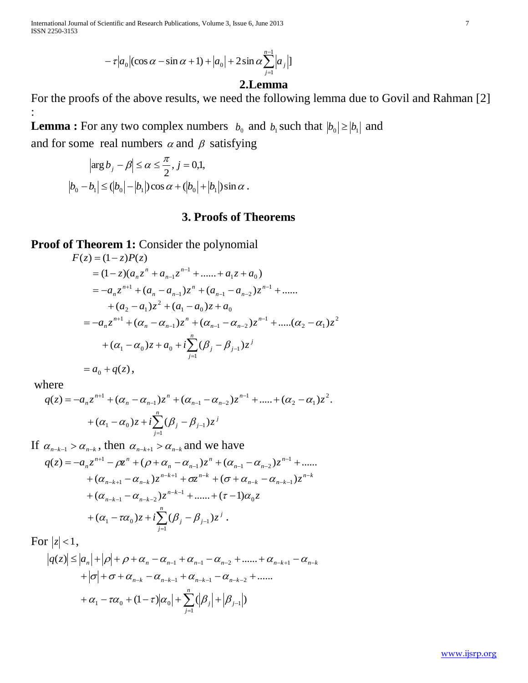International Journal of Scientific and Research Publications, Volume 3, Issue 6, June 2013 7 ISSN 2250-3153

$$
-\tau |a_0|(\cos\alpha-\sin\alpha+1)+|a_0|+2\sin\alpha\sum_{j=1}^{n-1}|a_j|
$$

# **2.Lemma**

For the proofs of the above results, we need the following lemma due to Govil and Rahman [2] :

**Lemma :** For any two complex numbers  $b_0$  and  $b_1$  such that  $|b_0| \ge |b_1|$  and and for some real numbers  $\alpha$  and  $\beta$  satisfying

$$
\left|\arg b_j - \beta\right| \le \alpha \le \frac{\pi}{2}, j = 0, 1,
$$
  

$$
\left|b_0 - b_1\right| \le (|b_0| - |b_1|)\cos\alpha + (|b_0| + |b_1|)\sin\alpha.
$$

# **3. Proofs of Theorems**

**Proof of Theorem 1:** Consider the polynomial

$$
F(z) = (1 - z)P(z)
$$
  
=  $(1 - z)(a_n z^n + a_{n-1} z^{n-1} + \dots + a_1 z + a_0)$   
=  $-a_n z^{n+1} + (a_n - a_{n-1}) z^n + (a_{n-1} - a_{n-2}) z^{n-1} + \dots$   
+  $(a_2 - a_1) z^2 + (a_1 - a_0) z + a_0$   
=  $-a_n z^{n+1} + (\alpha_n - \alpha_{n-1}) z^n + (\alpha_{n-1} - \alpha_{n-2}) z^{n-1} + \dots + (\alpha_2 - \alpha_1) z^2$   
+  $(\alpha_1 - \alpha_0) z + a_0 + i \sum_{j=1}^n (\beta_j - \beta_{j-1}) z^j$ 

$$
= a_0 + q(z),
$$

where

$$
q(z) = -a_n z^{n+1} + (\alpha_n - \alpha_{n-1}) z^n + (\alpha_{n-1} - \alpha_{n-2}) z^{n-1} + \dots + (\alpha_2 - \alpha_1) z^2.
$$
  
+ 
$$
(\alpha_1 - \alpha_0) z + i \sum_{j=1}^n (\beta_j - \beta_{j-1}) z^j
$$

If  $\alpha_{n-k-1} > \alpha_{n-k}$ , then  $\alpha_{n-k+1} > \alpha_{n-k}$  and we have

$$
q(z) = -a_n z^{n+1} - \rho z^n + (\rho + \alpha_n - \alpha_{n-1}) z^n + (\alpha_{n-1} - \alpha_{n-2}) z^{n-1} + \dots
$$
  
+  $(\alpha_{n-k+1} - \alpha_{n-k}) z^{n-k+1} + \sigma z^{n-k} + (\sigma + \alpha_{n-k} - \alpha_{n-k-1}) z^{n-k} + (\alpha_{n-k-1} - \alpha_{n-k-2}) z^{n-k-1} + \dots + (\tau - 1) \alpha_0 z$   
+  $(\alpha_1 - \tau \alpha_0) z + i \sum_{j=1}^n (\beta_j - \beta_{j-1}) z^j$ .

For  $|z|$  < 1,

$$
|q(z)| \le |a_n| + |p| + p + \alpha_n - \alpha_{n-1} + \alpha_{n-1} - \alpha_{n-2} + \dots + \alpha_{n-k+1} - \alpha_{n-k} + |\sigma| + \sigma + \alpha_{n-k} - \alpha_{n-k-1} + \alpha_{n-k-1} - \alpha_{n-k-2} + \dots + \alpha_1 - \sigma_{n-1} + (1-\tau)|\alpha_0| + \sum_{j=1}^n (|\beta_j| + |\beta_{j-1}|)
$$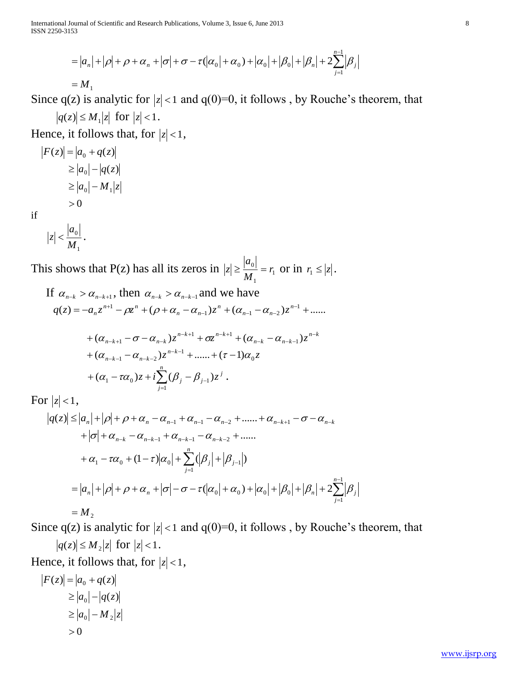$$
= |a_n| + |\rho| + \rho + \alpha_n + |\sigma| + \sigma - \tau(|\alpha_0| + \alpha_0) + |\alpha_0| + |\beta_0| + |\beta_n| + 2 \sum_{j=1}^{n-1} |\beta_j|
$$

$$
=M_{1}
$$

Since  $q(z)$  is analytic for  $|z| < 1$  and  $q(0)=0$ , it follows, by Rouche's theorem, that  $|q(z)| \leq M_1 |z|$  for  $|z| < 1$ .

Hence, it follows that, for  $|z| < 1$ ,

$$
|F(z)| = |a_0 + q(z)|
$$
  
\n
$$
\ge |a_0| - |q(z)|
$$
  
\n
$$
\ge |a_0| - M_1|z|
$$
  
\n
$$
> 0
$$
  
\nif  
\n
$$
|z| < |a_0|
$$

if

1 *M*  $|z| < \frac{|u_0|}{\sigma}$ .

This shows that P(z) has all its zeros in  $|z| \ge \frac{|u_0|}{M} = r_1$ 1  $\frac{0}{r} = r$ *M a*  $|z| \geq \frac{|u_0|}{M} = r_1$  or in  $r_1 \leq |z|$ .  $\mathbf{r}$ 

If 
$$
\alpha_{n-k} > \alpha_{n-k+1}
$$
, then  $\alpha_{n-k} > \alpha_{n-k-1}$  and we have  
\n
$$
q(z) = -a_n z^{n+1} - \rho z^n + (\rho + \alpha_n - \alpha_{n-1}) z^n + (\alpha_{n-1} - \alpha_{n-2}) z^{n-1} + \dots
$$
\n
$$
+ (\alpha_{n-k+1} - \sigma - \alpha_{n-k}) z^{n-k+1} + \sigma z^{n-k+1} + (\alpha_{n-k} - \alpha_{n-k-1}) z^{n-k} + (\alpha_{n-k-1} - \alpha_{n-k-2}) z^{n-k-1} + \dots + (\tau - 1) \alpha_0 z + (\alpha_1 - \tau \alpha_0) z + i \sum_{j=1}^n (\beta_j - \beta_{j-1}) z^j.
$$

 $z + i\sum_{j}(\beta_j - \beta_{j-1})z$ 1  $(\alpha_1 - \tau \alpha_0) z + i \sum (\beta_j - \beta_{j-1}) z^j$ .

*j*

For  $|z|$  < 1,

 *a<sup>n</sup> <sup>n</sup> <sup>n</sup> <sup>n</sup> <sup>n</sup> <sup>n</sup> <sup>k</sup> <sup>n</sup> <sup>k</sup> q z* <sup>1</sup> <sup>1</sup> <sup>2</sup> <sup>1</sup> ( ) ...... ...... *<sup>n</sup><sup>k</sup> <sup>n</sup>k*<sup>1</sup> *<sup>n</sup>k*<sup>1</sup> *<sup>n</sup>k*<sup>2</sup> (1 ) ( ) 1 <sup>1</sup> <sup>0</sup> <sup>0</sup> <sup>1</sup> *n j <sup>j</sup> <sup>j</sup>* 1 1 ( 0 0 ) <sup>0</sup> <sup>0</sup> 2 *n j a<sup>n</sup> <sup>n</sup> <sup>n</sup> <sup>j</sup> M*<sup>2</sup>

*z* 1,

Since  $q(z)$  is analytic for  $|z| < 1$  and  $q(0)=0$ , it follows, by Rouche's theorem, that

*j*

$$
|q(z)| \le M_2 |z| \text{ for } |z| < 1.
$$
  
Hence, it follows that, for  $|z| < |F(z)| = |a_0 + q(z)|$ 

$$
|F(z)| = |a_0 + q(z)|
$$
  
\n
$$
\ge |a_0| - |q(z)|
$$
  
\n
$$
\ge |a_0| - M_2|z|
$$
  
\n
$$
> 0
$$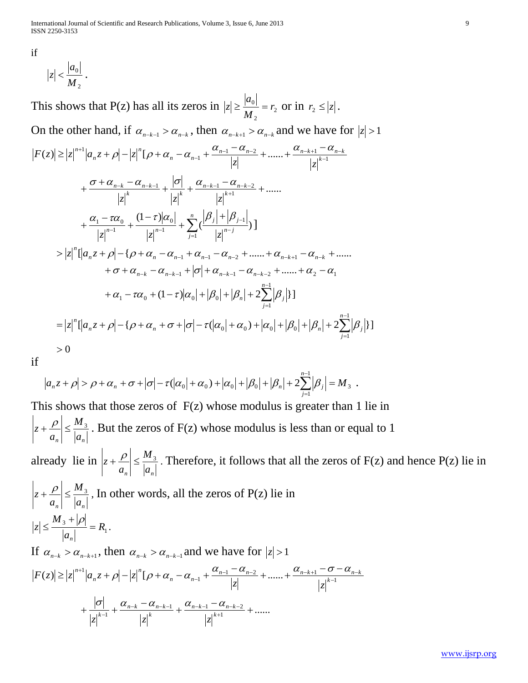International Journal of Scientific and Research Publications, Volume 3, Issue 6, June 2013 9 ISSN 2250-3153

if

$$
|z| < \frac{|a_0|}{M_2} \, .
$$

This shows that P(z) has all its zeros in  $|z| \ge \frac{|u_0|}{M} = r_2$ 2  $\frac{0|}{r} = r$ *M a*  $|z| \geq \frac{|u_0|}{M} = r_2$  or in  $r_2 \leq |z|$ .

On the other hand, if  $\alpha_{n-k-1} > \alpha_{n-k}$ , then  $\alpha_{n-k+1} > \alpha_{n-k}$  and we have for  $|z| > 1$ 

$$
|F(z)| \ge |z|^{n+1} |a_n z + \rho| - |z|^n [\rho + \alpha_n - \alpha_{n-1} + \frac{\alpha_{n-1} - \alpha_{n-2}}{|z|} + \dots + \frac{\alpha_{n-k+1} - \alpha_{n-k}}{|z|^{k-1}} + \frac{\sigma + \alpha_{n-k} - \alpha_{n-k-1}}{|z|^k} + \frac{|\sigma|}{|z|^k} + \frac{\alpha_{n-k-1} - \alpha_{n-k-2}}{|z|^{k+1}} + \dots + \frac{\alpha_1 - \tau\alpha_0}{|z|^{n-1}} + \frac{(1-\tau)|\alpha_0|}{|z|^{n-1}} + \sum_{j=1}^n (\frac{|\beta_j| + |\beta_{j-1}|}{|z|^{n-j}}) \Big] > |z|^n [a_n z + \rho| - {\rho + \alpha_n - \alpha_{n-1} + \alpha_{n-1} - \alpha_{n-2} + \dots + \alpha_{n-k+1} - \alpha_{n-k} + \dots + \alpha_1 - \alpha_{n-k} - \alpha_{n-k-1} + |\sigma| + \alpha_{n-k-1} - \alpha_{n-k-2} + \dots + \alpha_2 - \alpha_1 + \alpha_1 - \tau\alpha_0 + (1-\tau)|\alpha_0| + |\beta_0| + |\beta_n| + 2\sum_{j=1}^{n-1} |\beta_j| \Big] = |z|^n [a_n z + \rho| - {\rho + \alpha_n + \sigma + |\sigma| - \tau(|\alpha_0| + \alpha_0) + |\alpha_0| + |\beta_0| + |\beta_n| + 2\sum_{j=1}^{n-1} |\beta_j| \Big] > 0
$$

if

$$
a_n z + \rho \big| > \rho + \alpha_n + \sigma + |\sigma| - \tau (|\alpha_0| + \alpha_0) + |\alpha_0| + |\beta_0| + |\beta_n| + 2 \sum_{j=1}^{n-1} |\beta_j| = M_3.
$$

This shows that those zeros of  $F(z)$  whose modulus is greater than 1 lie in  $a_n \mid a_n$ *M a*  $|z + P| \leq \frac{M_3}{|z - z|}$ . But the zeros of F(z) whose modulus is less than or equal to 1 already lie in  $a_n \rvert$ <sup>-</sup>  $a_n$ *M a*  $|z + P| \leq \frac{M_3}{|z - z|}$ . Therefore, it follows that all the zeros of F(z) and hence P(z) lie in  $a_n \mid a_n$ *M a*  $|z + P| \leq \frac{M_3}{|z - z|}$ , In other words, all the zeros of P(z) lie in 1  $\frac{3 \text{ } \top |\mathcal{V}|}{2} = R$ *a M z n*  $=$  $\ddot{}$  $\leq \frac{M_{3}+|\rho|}{|} = R_{1}.$ If  $\alpha_{n-k} > \alpha_{n-k+1}$ , then  $\alpha_{n-k} > \alpha_{n-k-1}$  and we have for  $|z| > 1$ 1  $\frac{a_{n-1}-a_{n-2}}{1}$  + ...... +  $\frac{a_{n-k+1}}{1}$  $|z| \ge |z|^{n+1} |a_n z + \rho| - |z|^n [ \rho + \alpha_n - \alpha_{n-1} + \frac{\alpha_{n-1} - \alpha_{n-2}}{|z|} + \dots + \frac{\alpha_{n-k+1} - \sigma_{n-k+1}}{|z|}$  $-\frac{1}{1} + \frac{a_{n-1} - a_{n-2}}{1} + \dots + \frac{a_{n-k+1} - a_{n-k}}{1}$  $\geq |z|^{n+1} |a_n z + \rho| - |z|^n [(\rho + \alpha_n - \alpha_{n-1} + \frac{\alpha_{n-1} - \alpha_{n-2}}{|z|} + \dots + \frac{\alpha_{n-k+1} - \sigma - \alpha_{n-k}}{|z|}$ *n n n z*  $|z|$  $F(z) \ge |z|^{n+1} |a_n z + \rho| - |z|^n [\rho + \alpha_n - \alpha_{n-1} + \frac{\alpha_{n-1} - \alpha_{n-2}}{1} + \dots + \frac{\alpha_{n-k+1} - \sigma - \alpha_{n-1}}{1} ]$  $+\frac{|\mathcal{O}|}{|\mathcal{A}|^k}+\frac{\alpha_{n-k}-\alpha_{n-k-1}}{|\mathcal{A}|^k}+\frac{\alpha_{n-k-1}-\alpha_{n-k-2}}{|\mathcal{A}|^k}+......$  $+\frac{|\sigma|}{1+k-1}+\frac{\alpha_{n-k}-\alpha_{n-k-1}}{1+k}+\frac{\alpha_{n-k-1}-\alpha_{n-k-2}}{1+k+1}+$  $-\kappa - \boldsymbol{\alpha}_{n-k-1}$   $\boldsymbol{\alpha}_{n-k-1} - \boldsymbol{\alpha}_{n-k-1}$  $-1$   $\mid k$   $\mid k$  $n-k-1$   $\alpha_{n-k}$ *k*  $n-k$   $\alpha_{n-k}$  $z^{k-1}$   $|z|^k$   $|z|$  $\sigma$   $\alpha$ ,  $-\alpha$ ,  $\alpha$ ,  $-\alpha$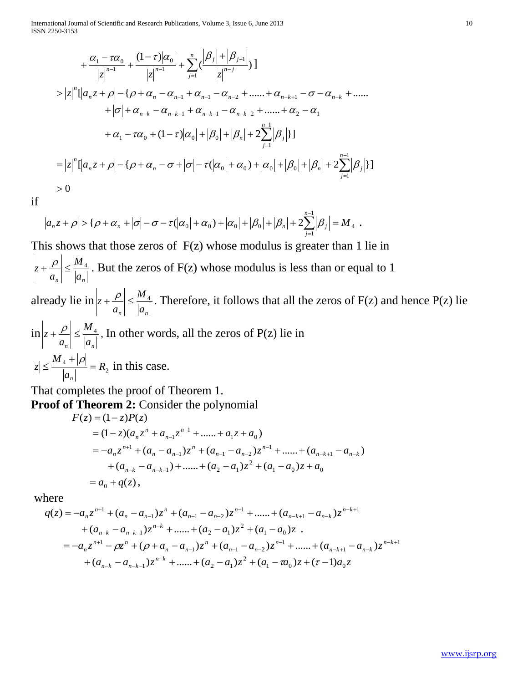International Journal of Scientific and Research Publications, Volume 3, Issue 6, June 2013 10 ISSN 2250-3153

$$
+\frac{\alpha_{1}-\tau\alpha_{0}}{|z|^{n-1}}+\frac{(1-\tau)|\alpha_{0}|}{|z|^{n-1}}+\sum_{j=1}^{n}\left(\frac{|\beta_{j}|+|\beta_{j-1}|}{|z|^{n-j}}\right)]
$$
  
>  $|z|^{n}\left[|a_{n}z+\rho|-\{\rho+\alpha_{n}-\alpha_{n-1}+\alpha_{n-1}-\alpha_{n-2}+\dots+\alpha_{n-k+1}-\sigma-\alpha_{n-k}+\dots+\alpha_{n-k+1}-\sigma-\alpha_{n-k+1}-\sigma-\alpha_{n-k+1}-\sigma-\alpha_{n-k+1}-\sigma-\alpha_{n-k+1}-\sigma-\alpha_{n-k+1}-\sigma-\alpha_{n-k+1}-\sigma-\alpha_{n-k+1}-\sigma-\alpha_{n-k+1}-\sigma-\alpha_{n-k+1}-\sigma-\alpha_{n-k+1}-\sigma-\alpha_{n-k+1}-\sigma-\alpha_{n-k+1}-\sigma-\alpha_{n-k+1}-\sigma-\alpha_{n-k+1}-\sigma-\alpha_{n-k+1}-\sigma-\alpha_{n-k+1}-\sigma-\alpha_{n-k+1}-\sigma-\alpha_{n-k+1}-\sigma-\alpha_{n-k+1}-\sigma-\alpha_{n-k+1}-\sigma-\alpha_{n-k+1}-\sigma-\alpha_{n-k+1}-\sigma-\alpha_{n-k+1}-\sigma-\alpha_{n-k+1}-\sigma-\alpha_{n-k+1}-\sigma-\alpha_{n-k+1}-\sigma-\alpha_{n-k+1}-\sigma-\alpha_{n-k+1}-\sigma-\alpha_{n-k+1}-\sigma-\alpha_{n-k+1}-\sigma-\alpha_{n-k+1}-\sigma-\alpha_{n-k+1}-\sigma-\alpha_{n-k+1}-\sigma-\alpha_{n-k+1}-\sigma-\alpha_{n-k+1}-\sigma-\alpha_{n-k+1}-\sigma-\alpha_{n-k+1}-\sigma-\alpha_{n-k+1}-\sigma-\alpha_{n-k+1}-\sigma-\alpha_{n-k+1}-\sigma-\alpha_{n-k+1}-\sigma-\alpha_{n-k+1}-\sigma-\alpha_{n-k+1}-\sigma-\alpha_{n-k+1}-\sigma-\alpha_{n-k+1}-\sigma-\alpha_{n-k+1}-\sigma-\alpha_{n-k+1}-\sigma-\alpha_{n-k+1}-\sigma-\alpha_{n-k+1}-\sigma-\alpha_{n-k+1}-\sigma-\alpha_{n-k+1}-\sigma-\alpha_{n-k+1}-\sigma-\alpha_{n-k+1}-\sigma-\alpha_{n-k+1}-\sigma-\alpha_{n-k+1}-\sigma-\alpha_{n-k+1}-\sigma-\alpha_{n-k+1}-\sigma-\alpha_{n-k+1}-\sigma-\alpha_{n-k+1}-\sigma-\alpha_{n-k$ 

if

$$
|a_n z + \rho| > {\rho + \alpha_n + |\sigma| - \sigma - \tau(|\alpha_0| + \alpha_0) + |\alpha_0| + |\beta_0| + |\beta_n| + 2\sum_{j=1}^{n-1} |\beta_j|} = M_4.
$$

This shows that those zeros of  $F(z)$  whose modulus is greater than 1 lie in

 $a_n \rvert^{-1} \rvert a_n$ *M a*  $|z + P| \leq \frac{M_4}{1}$ . But the zeros of F(z) whose modulus is less than or equal to 1 already lie in  $a_n \mid a_n$ *M a*  $|z + P| \leq \frac{M_4}{1}$ . Therefore, it follows that all the zeros of F(z) and hence P(z) lie in  $a_n \rvert = |a_n|$ *M a*  $|z + P| \leq \frac{M_4}{|z - z|}$ , In other words, all the zeros of P(z) lie in 2  $\frac{4 \pm |\mathcal{P}|}{2} = R$ *a M z n*  $=$  $\ddot{}$  $\leq \frac{M_4+|\rho|}{\rho}$  =  $R_2$  in this case.

That completes the proof of Theorem 1.

**Proof of Theorem 2:** Consider the polynomial

$$
F(z) = (1 - z)P(z)
$$
  
=  $(1 - z)(a_n z^n + a_{n-1} z^{n-1} + \dots + a_1 z + a_0)$   
=  $-a_n z^{n+1} + (a_n - a_{n-1}) z^n + (a_{n-1} - a_{n-2}) z^{n-1} + \dots + (a_{n-k+1} - a_{n-k})$   
+  $(a_{n-k} - a_{n-k-1}) + \dots + (a_2 - a_1) z^2 + (a_1 - a_0) z + a_0$   
=  $a_0 + q(z)$ ,

where

$$
q(z) = -a_n z^{n+1} + (a_n - a_{n-1}) z^n + (a_{n-1} - a_{n-2}) z^{n-1} + \dots + (a_{n-k+1} - a_{n-k}) z^{n-k+1}
$$
  
+  $(a_{n-k} - a_{n-k-1}) z^{n-k} + \dots + (a_2 - a_1) z^2 + (a_1 - a_0) z$ .  
=  $-a_n z^{n+1} - \rho z^n + (\rho + a_n - a_{n-1}) z^n + (a_{n-1} - a_{n-2}) z^{n-1} + \dots + (a_{n-k+1} - a_{n-k}) z^{n-k+1}$   
+  $(a_{n-k} - a_{n-k-1}) z^{n-k} + \dots + (a_2 - a_1) z^2 + (a_1 - a_0) z + (\tau - 1) a_0 z$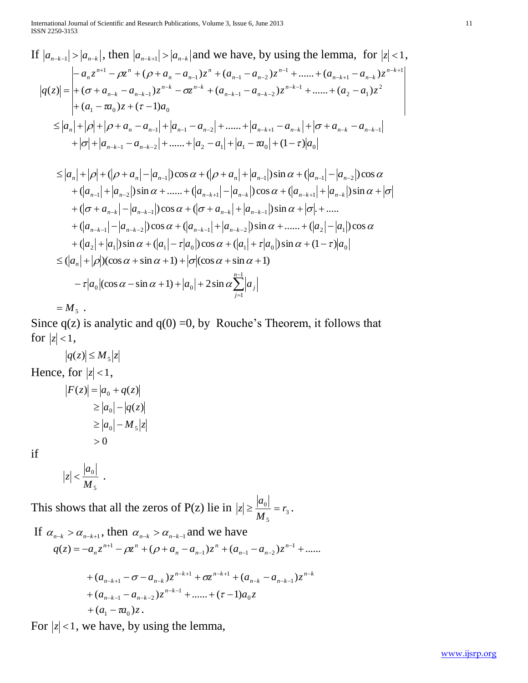International Journal of Scientific and Research Publications, Volume 3, Issue 6, June 2013 11 ISSN 2250-3153

If 
$$
|a_{n-k-1}| > |a_{n-k}|
$$
, then  $|a_{n-k+1}| > |a_{n-k}|$  and we have, by using the lemma, for  $|z| < 1$ ,  
\n
$$
\begin{aligned}\n&|a_{n-k-1}| > |a_{n-k-1}| > |a_{n-k}| \text{ and we have, by using the lemma, for } |z| < 1, \\
|q(z)| = \begin{vmatrix}\n-a_n z^{n+1} - \rho z^n + (\rho + a_n - a_{n-1}) z^n + (a_{n-1} - a_{n-2}) z^{n-1} + \dots + (a_{n-k+1} - a_{n-k}) z^{n-k+1} \\
+(\sigma + a_{n-k} - a_{n-k-1}) z^{n-k} - \sigma z^{n-k} + (a_{n-k-1} - a_{n-k-2}) z^{n-k-1} + \dots + (a_2 - a_1) z^2 \\
+(a_1 - \pi a_0) z + (\tau - 1) a_0\n\end{vmatrix} \\
&\leq |a_n| + |\rho| + |\rho + a_n - a_{n-1}| + |a_{n-1} - a_{n-2}| + \dots + |a_2 - a_1| + |a_1 - \pi a_0| + (1 - \tau)|a_0|\n\end{aligned}
$$
\n
$$
\leq |a_n| + |\rho| + (|\rho + a_n| - |a_{n-1}|) \cos \alpha + (|\rho + a_n| + |a_{n-1}|) \sin \alpha + (|a_{n-1}| - |a_{n-2}|) \cos \alpha
$$

$$
\leq |a_n| + |p| + (|p + a_n| - |a_{n-1}|) \cos \alpha + (|p + a_n| + |a_{n-1}|) \sin \alpha + (|a_{n-1}| - |a_{n-2}|) \cos \alpha \n+ (|a_{n-1}| + |a_{n-2}|) \sin \alpha + \dots + (|a_{n+k+1}| - |a_{n-k}|) \cos \alpha + (|a_{n-k+1}| + |a_{n-k}|) \sin \alpha + |\sigma| \n+ (|\sigma + a_{n-k}| - |a_{n-k-1}|) \cos \alpha + (|\sigma + a_{n-k}| + |a_{n-k-1}|) \sin \alpha + |\sigma| + \dots \n+ (|a_{n-k-1}| - |a_{n-k-2}|) \cos \alpha + (|a_{n-k-1}| + |a_{n-k-2}|) \sin \alpha + \dots + (|a_2| - |a_1|) \cos \alpha \n+ (|a_2| + |a_1|) \sin \alpha + (|a_1| - \tau |a_0|) \cos \alpha + (|a_1| + \tau |a_0|) \sin \alpha + (1 - \tau) |a_0| \n\leq (|a_n| + |p|) (\cos \alpha + \sin \alpha + 1) + |\sigma| (\cos \alpha + \sin \alpha + 1) \n- \tau |a_0| (\cos \alpha - \sin \alpha + 1) + |a_0| + 2 \sin \alpha \sum_{j=1}^{n-1} |a_j|
$$

 $=M<sub>5</sub>$  .

Since  $q(z)$  is analytic and  $q(0) = 0$ , by Rouche's Theorem, it follows that for  $|z|$  < 1,

 $|q(z)| \leq M_{5} |z|$ Hence, for  $|z| < 1$ ,  $|F(z)| = |a_0 + q(z)|$  $> 0$  $\ge |a_0| - |q(z)|$  $\geq |a_{0}| - M_{5}|z$ 

if

$$
z \Big| < \frac{|a_0|}{M_5} \enspace .
$$

 $\begin{array}{c} \hline \end{array}$ 

This shows that all the zeros of P(z) lie in  $|z| \ge \frac{|a_0|}{M} = r_3$ 5  $\frac{0|}{r} = r$ *M*  $|z| \geq \frac{|a_0|}{\sigma} = r_3$ .

If 
$$
\alpha_{n-k} > \alpha_{n-k+1}
$$
, then  $\alpha_{n-k} > \alpha_{n-k-1}$  and we have  
\n
$$
q(z) = -a_n z^{n+1} - \rho z^n + (\rho + a_n - a_{n-1}) z^n + (a_{n-1} - a_{n-2}) z^{n-1} + \dots
$$
\n
$$
+ (a_{n-k+1} - \sigma - a_{n-k}) z^{n-k+1} + \sigma z^{n-k+1} + (a_{n-k} - a_{n-k-1}) z^{n-k} + (a_{n-k-1} - a_{n-k-2}) z^{n-k-1} + \dots + (\tau - 1) a_0 z + (a_1 - \tau a_0) z.
$$

For  $|z|$  < 1, we have, by using the lemma,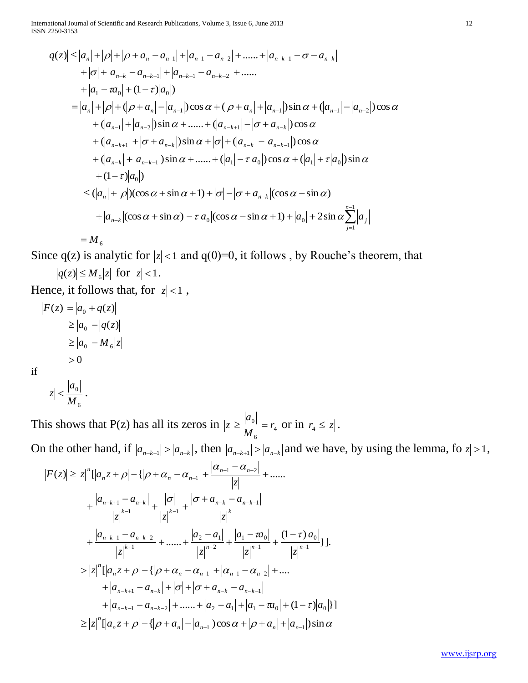International Journal of Scientific and Research Publications, Volume 3, Issue 6, June 2013 12 ISSN 2250-3153

$$
|q(z)| \le |a_n| + |p| + |p + a_n - a_{n-1}| + |a_{n-1} - a_{n-2}| + \dots + |a_{n-k+1} - \sigma - a_{n-k}|
$$
  
+  $| \sigma | + |a_{n-k} - a_{n-k-1}| + |a_{n-k-1} - a_{n-k-2}| + \dots$   
+  $|a_1 - \pi a_0| + (1 - \tau)|a_0|$ )  
=  $|a_n| + |p| + (|p + a_n| - |a_{n-1}|) \cos \alpha + (|p + a_n| + |a_{n-1}|) \sin \alpha + (|a_{n-1}| - |a_{n-2}|) \cos \alpha$   
+  $(|a_{n-1}| + |a_{n-2}|) \sin \alpha + \dots + (|a_{n-k+1}| - | \sigma + a_{n-k}|) \cos \alpha$   
+  $(|a_{n-k+1}| + | \sigma + a_{n-k}|) \sin \alpha + | \sigma | + (|a_{n-k}| - |a_{n-k-1}|) \cos \alpha$   
+  $(|a_{n-k}| + |a_{n-k-1}|) \sin \alpha + \dots + (|a_1| - \tau |a_0|) \cos \alpha + (|a_1| + \tau |a_0|) \sin \alpha$   
+  $(1 - \tau)|a_0|$ )  
 $\le (|a_n| + |p|)(\cos \alpha + \sin \alpha + 1) + | \sigma | - | \sigma + a_{n-k}| (\cos \alpha - \sin \alpha)$   
+  $|a_{n-k}| (\cos \alpha + \sin \alpha) - \tau |a_0| (\cos \alpha - \sin \alpha + 1) + |a_0| + 2 \sin \alpha \sum_{j=1}^{n-1} |a_j|$ 

$$
=M_{6}
$$

Since  $q(z)$  is analytic for  $|z| < 1$  and  $q(0)=0$ , it follows, by Rouche's theorem, that  $|q(z)| \leq M_6 |z|$  for  $|z| < 1$ .

Hence, it follows that, for  $|z| < 1$ ,

$$
|F(z)| = |a_0 + q(z)|
$$
  
\n
$$
\ge |a_0| - |q(z)|
$$
  
\n
$$
\ge |a_0| - M_6|z|
$$
  
\n
$$
> 0
$$
  
\nif

$$
|z| < \frac{|a_0|}{M_6} \, .
$$

if

This shows that P(z) has all its zeros in  $|z| \ge \frac{|a_0|}{M} = r_4$ 6  $\frac{0|}{r} = r$ *M a*  $|z| \geq \frac{|u_0|}{M} = r_4$  or in  $r_4 \leq |z|$ .

On the other hand, if  $|a_{n-k-1}| > |a_{n-k}|$ , then  $|a_{n-k+1}| > |a_{n-k}|$  and we have, by using the lemma, fo  $|z| > 1$ ,

$$
|F(z)| \ge |z|^{n} [|a_{n}z + \rho| - \{|\rho + \alpha_{n} - \alpha_{n-1}| + \frac{|\alpha_{n-1} - \alpha_{n-2}|}{|z|} + \dots
$$
  
+  $\frac{|a_{n-k+1} - a_{n-k}|}{|z|^{k-1}} + \frac{|\sigma|}{|z|^{k-1}} + \frac{|\sigma + a_{n-k} - a_{n-k-1}|}{|z|^{k}}$   
+  $\frac{|a_{n-k-1} - a_{n-k-2}|}{|z|^{k+1}} + \dots + \frac{|a_{2} - a_{1}|}{|z|^{n-2}} + \frac{|a_{1} - \alpha_{0}|}{|z|^{n-1}} + \frac{(1-\tau)|a_{0}|}{|z|^{n-1}}\}].$   
>  $|z|^{n} [|a_{n}z + \rho| - \{|\rho + \alpha_{n} - \alpha_{n-1}| + |\alpha_{n-1} - \alpha_{n-2}| + \dots$   
+  $|a_{n-k+1} - a_{n-k}| + |\sigma| + |\sigma + a_{n-k} - a_{n-k-1}|$   
+  $|a_{n-k-1} - a_{n-k-2}| + \dots + |a_{2} - a_{1}| + |a_{1} - \alpha_{0}| + (1-\tau)|a_{0}|\}.$   
>  $|z|^{n} [|a_{n}z + \rho| - \{|\rho + a_{n}| - |a_{n-1}|\}\cos \alpha + |\rho + a_{n}| + |a_{n-1}|\sin \alpha$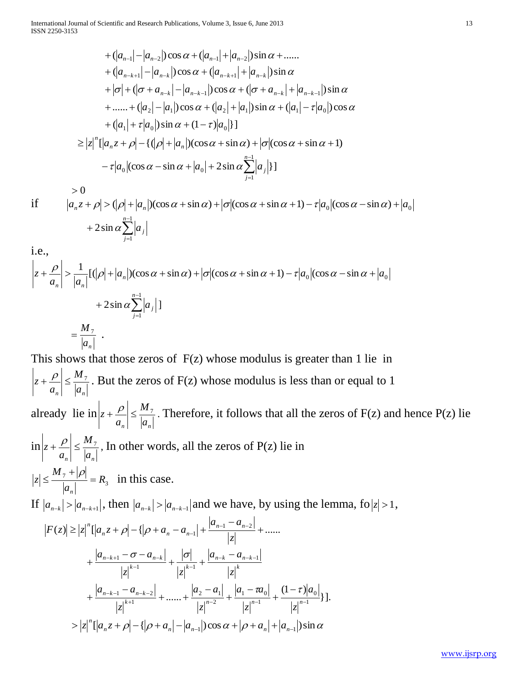International Journal of Scientific and Research Publications, Volume 3, Issue 6, June 2013 13 ISSN 2250-3153

$$
+(|a_{n-1}|-|a_{n-2}|)\cos\alpha + (|a_{n-1}|+|a_{n-2}|)\sin\alpha + \dots
$$
  
+  $(|a_{n-k+1}|-|a_{n-k}|)\cos\alpha + (|a_{n-k+1}|+|a_{n-k}|)\sin\alpha$   
+  $|\sigma| + (|\sigma + a_{n-k}|-|a_{n-k-1}|)\cos\alpha + (|\sigma + a_{n-k}|+|a_{n-k-1}|)\sin\alpha$   
+  $\dots + (|a_2|-|a_1|\cos\alpha + (|a_2|+|a_1|\sin\alpha + (|a_1|- \tau|a_0|\cos\alpha$   
+  $(|a_1|+ \tau|a_0|\sin\alpha + (1-\tau)|a_0|$ ]  
 $\ge |z|^{n} [a_{n}z + \rho| - {(|\rho| + |a_n|)(\cos\alpha + \sin\alpha) + |\sigma|(\cos\alpha + \sin\alpha + 1)}$   
-  $\tau|a_0|(\cos\alpha - \sin\alpha + |a_0| + 2\sin\alpha \sum_{j=1}^{n-1}|a_j|$ ]  
> 0

if  $a_n z + \rho$   $>$   $(|\rho| + |a_n|)(\cos \alpha + \sin \alpha) + |\sigma|(\cos \alpha + \sin \alpha + 1) - \tau |a_0|(\cos \alpha - \sin \alpha) + |a_0|$  $+2\sin \alpha \sum^{n-1}$ = +  $2\sin \alpha \sum_{n=1}^{n-1}$ 1 2sin *n j*  $\alpha \sum a_j$ 

i.e.,

$$
\left| z + \frac{\rho}{a_n} \right| > \frac{1}{|a_n|} [(\rho| + |a_n|)(\cos \alpha + \sin \alpha) + |\sigma|(\cos \alpha + \sin \alpha + 1) - \tau |a_0|(\cos \alpha - \sin \alpha + |a_0| + 2\sin \alpha \sum_{j=1}^{n-1} |a_j| ]
$$
\n
$$
= \frac{M}{|a_n|}.
$$

This shows that those zeros of  $F(z)$  whose modulus is greater than 1 lie in  $a_n \rvert^{-1} \rvert a_n$ *M a*  $|z + P| \leq \frac{M_7}{1}$ . But the zeros of F(z) whose modulus is less than or equal to 1 already lie in  $a_n \rvert^{-1} \rvert a_n$ *M a*  $|z + \frac{\rho}{\rho}| \leq \frac{M_7}{\rho}$ . Therefore, it follows that all the zeros of F(z) and hence P(z) lie in  $a_n \rvert = |a_n|$ *M a*  $|z + P| \leq \frac{M_7}{|z - z|}$ , In other words, all the zeros of P(z) lie in 3  $\frac{7}{1}$  $\frac{|P|}{1}$  $= R$ *a M*  $|z| \leq \frac{m}{|z|}$ *n*  $\ddot{}$  $\leq \frac{M_{7}+|\rho|}{\sqrt{m}} = R_{3}$  in this case. If  $|a_{n-k}| > |a_{n-k+1}|$ , then  $|a_{n-k}| > |a_{n-k-1}|$  and we have, by using the lemma, fo  $|z| > 1$ ,  $|F(z)| \ge |z|^n \left[ |a_n z + \rho| - |a_n - a_{n-1}| + \frac{|a_{n-1} - a_{n-2}|}{|a_{n-1}|} + \dots \right]$  $\overline{a}$  $\geq |z|^n \left[ |a_n z + \rho| - |a_n - a_{n-1}| + \frac{|a_{n-1} - a_{n-1}|}{|a_n - a_{n-1}|} \right]$  $-1$ <sup> $\vert$ </sup>  $\vert$ *z*  $a_{n-1} - a$  $F(z) \ge |z|^{n} \left[ |a_{n}z + \rho| - \left\{ |\rho + a_{n} - a_{n-1}| + \frac{|\mu_{n-1} - a_{n}|}{n} \right\} \right]$  $n^2$   $\mu$   $\mu$   $\mu$   $\alpha_n$   $\alpha_n$  $\int_{a_n}^{\infty} [a_n z + \rho] - \{ |\rho|$ }].  $(1 - \tau)$  $\ldots + \frac{|\mu_2 - \mu_1|}{|1 - n^2|} + \frac{|\mu_1 - \mu_0|}{|1 - n^2|} + \frac{1 - \nu}{|1 - n^2|}$ 1  $\mu_1 - u_0$ 2  $2 - u_1$ 1  $\mu_1 - u_{n-k-2}$ 1  $1 \t\t\t |k-1|$  $1 - \sigma - a_{n-k}$   $|0|$   $|a_{n-k} - a_{n-k}$   $\begin{vmatrix} -k-1 & -a_{n-k-2} \\ 0 & 0 \end{vmatrix}$   $\begin{vmatrix} a_2 - a_1 \\ 0 & 1 \end{vmatrix}$   $\begin{vmatrix} a_1 - \pi a_0 \\ 0 & 1 \end{vmatrix}$   $(1 - \pi a_0)$  $-1$   $\vert k-1 \vert$  $\begin{vmatrix} -k+1 & -\sigma - a_{n-k} \end{vmatrix}$   $\sigma$   $\begin{vmatrix} a_{n-k} & -k \end{vmatrix}$  $\ddot{}$  $\overline{a}$  $\overline{+}$  $\overline{a}$  $+$ ......+  $\overline{a}$  $+\frac{|a_1 - a_2|}{|a_1 + a_2|} + \dots + \frac{|a_2 - a_1|}{|a_2 + a_2|} + \frac{|a_1 - a_2|}{|a_1 + a_2|} + \dots$  $+\frac{|C|}{\sqrt{k+1}}+$  $-\sigma$ - $+\frac{|C_{n-k+1}|}{|C_{n-k-1}|} + \frac{|C_{n-k}|}{|C_{n-k-1}|} + \frac{|C_{n-k}|}{|C_{n-k-1}|}$  $n-k-1$   $-u_{n-k}$  $n-k$   $u_{n-k}$  $k-1$   $\qquad \qquad$   $\qquad$   $\qquad$   $\qquad$   $\qquad$   $\qquad$   $\qquad$   $\qquad$   $\qquad$   $\qquad$   $\qquad$   $\qquad$   $\qquad$   $\qquad$   $\qquad$   $\qquad$   $\qquad$   $\qquad$   $\qquad$   $\qquad$   $\qquad$   $\qquad$   $\qquad$   $\qquad$   $\qquad$   $\qquad$   $\qquad$   $\qquad$   $\qquad$   $\qquad$   $\qquad$   $\qquad$   $\qquad$   $\qquad$   $\qquad$   $\$  $n-k+1$  *C*  $u_{n-k}$ *z a z*  $a_1 - \tau a$ *z*  $a<sub>2</sub> - a$ *z*  $a_{n-k-1} - a_{n-k-2}$   $|a_2 - a_1|$   $|a_1 - a_0|$   $(1 - \tau)$ *z*  $a_{n-k}$  – a  $z \vert^{k-1}$  |z  $a_{n-k+1}$  -  $\sigma$  -  $a_{n-k}$  |  $\sigma$  $|z|^{n}$ [ $|a_{n}z + \rho| - {|\rho + a_{n}| - |a_{n-1}| \cos \alpha + |\rho + a_{n}| + |a_{n-1}| \sin \alpha}$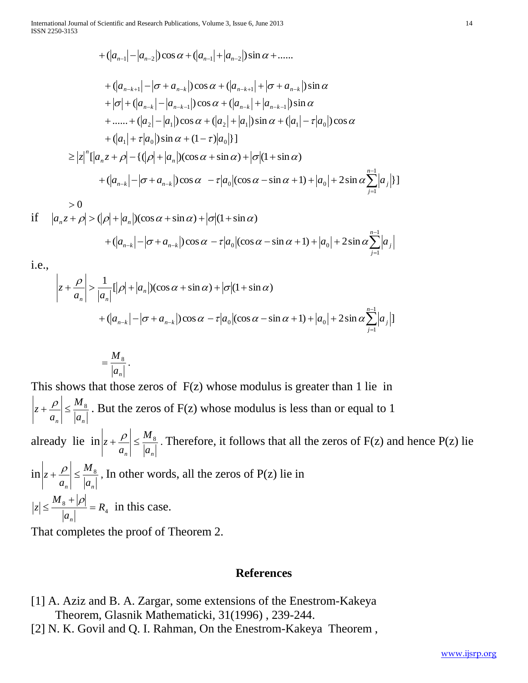International Journal of Scientific and Research Publications, Volume 3, Issue 6, June 2013 14 ISSN 2250-3153

$$
+ (|a_{n-1}| - |a_{n-2}|) \cos \alpha + (|a_{n-1}| + |a_{n-2}|) \sin \alpha + \dots
$$

+ 
$$
(|a_{n-k+1}| - |\sigma + a_{n-k}|) \cos \alpha + (|a_{n-k+1}| + |\sigma + a_{n-k}|) \sin \alpha
$$
  
+  $|\sigma| + (|a_{n-k}| - |a_{n-k-1}|) \cos \alpha + (|a_{n-k}| + |a_{n-k-1}|) \sin \alpha$   
+ ..... +  $(|a_2| - |a_1|) \cos \alpha + (|a_2| + |a_1|) \sin \alpha + (|a_1| - \tau |a_0|) \cos \alpha$   
+  $(|a_1| + \tau |a_0|) \sin \alpha + (1 - \tau |a_0|)$ ]  
 $\ge |z|^n \left[ |a_n z + \rho| - \frac{(|\rho| + |a_n|)(\cos \alpha + \sin \alpha) + |\sigma|(1 + \sin \alpha)}{1 + (|a_{n-k}| - |\sigma + a_{n-k}|) \cos \alpha - \tau |a_0| (\cos \alpha - \sin \alpha + 1) + |a_0| + 2 \sin \alpha \sum_{j=1}^{n-1} |a_j| \right]$ 

 $>0$ if  $|a_n z + \rho| > (|\rho| + |a_n|)(\cos \alpha + \sin \alpha) + |\sigma| (1 + \sin \alpha)$ 

$$
+(\left|a_{n-k}\right|-\left|\sigma+a_{n-k}\right|)\cos\alpha -\tau\left|a_0\right|(\cos\alpha-\sin\alpha+1)+\left|a_0\right|+2\sin\alpha\sum_{j=1}^{n-1}\left|a_j\right|
$$

i.e.,

$$
\left| z + \frac{\rho}{a_n} \right| > \frac{1}{|a_n|} [|\rho| + |a_n|) (\cos \alpha + \sin \alpha) + |\sigma| (1 + \sin \alpha)
$$
  
+  $(|a_{n-k}| - |\sigma + a_{n-k}|) \cos \alpha - \tau |a_0| (\cos \alpha - \sin \alpha + 1) + |a_0| + 2 \sin \alpha \sum_{j=1}^{n-1} |a_j| ]$ 

$$
=\frac{M_{8}}{|a_{n}|}.
$$

This shows that those zeros of  $F(z)$  whose modulus is greater than 1 lie in  $a_n \mid a_n$ *M a*  $|z + P| \leq \frac{M_8}{|z - z|}$ . But the zeros of F(z) whose modulus is less than or equal to 1 already lie in  $a_n$ <sup> $-a_n$ </sup> *M a*  $|z + P| \leq \frac{M_8}{|z - z|}$ . Therefore, it follows that all the zeros of F(z) and hence P(z) lie in  $a_n \rvert = |a_n|$ *M a*  $|z + P| \leq \frac{M_8}{|z - z|}$ , In other words, all the zeros of P(z) lie in 4  $\frac{8+|P|}{1+|P|} = R$ *a M z n*  $=$  $\ddot{}$  $\leq \frac{M_8 + |\rho|}{1 - |\rho|} = R_4$  in this case.

That completes the proof of Theorem 2.

### **References**

- [1] A. Aziz and B. A. Zargar, some extensions of the Enestrom-Kakeya Theorem, Glasnik Mathematicki, 31(1996) , 239-244.
- [2] N. K. Govil and Q. I. Rahman, On the Enestrom-Kakeya Theorem ,